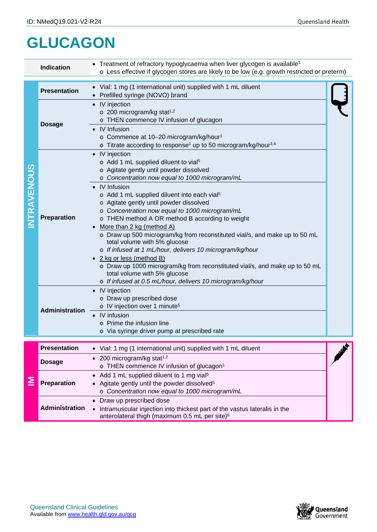## **GLUCAGON**

|                   | <b>Indication</b>     | • Treatment of refractory hypoglycaemia when liver glycogen is available <sup>1</sup><br>o Less effective if glycogen stores are likely to be low (e.g. growth restricted or preterm)                                                                                                                                                                                                                                                                                                                                                                                                                                                                                                                                                                                                                        |  |  |  |
|-------------------|-----------------------|--------------------------------------------------------------------------------------------------------------------------------------------------------------------------------------------------------------------------------------------------------------------------------------------------------------------------------------------------------------------------------------------------------------------------------------------------------------------------------------------------------------------------------------------------------------------------------------------------------------------------------------------------------------------------------------------------------------------------------------------------------------------------------------------------------------|--|--|--|
| <b>NTRAVENOUS</b> | <b>Presentation</b>   | • Vial: 1 mg (1 international unit) supplied with 1 mL diluent<br>Prefilled syringe (NOVO) brand                                                                                                                                                                                                                                                                                                                                                                                                                                                                                                                                                                                                                                                                                                             |  |  |  |
|                   | <b>Dosage</b>         | • IV injection<br>$\circ$ 200 microgram/kg stat <sup>1,2</sup><br>o THEN commence IV infusion of glucagon<br>• IV Infusion<br>o Commence at 10-20 microgram/kg/hour <sup>1</sup><br>o Titrate according to response <sup>1</sup> up to 50 microgram/kg/hour <sup>3,4</sup>                                                                                                                                                                                                                                                                                                                                                                                                                                                                                                                                   |  |  |  |
|                   | <b>Preparation</b>    | • IV injection<br>o Add 1 mL supplied diluent to vial <sup>5</sup><br>o Agitate gently until powder dissolved<br>o Concentration now equal to 1000 microgram/mL<br>• IV Infusion<br>o Add 1 mL supplied diluent into each vial <sup>5</sup><br>o Agitate gently until powder dissolved<br>o Concentration now equal to 1000 microgram/mL<br>o THEN method A OR method B according to weight<br>More than 2 kg (method A)<br>o Draw up 500 microgram/kg from reconstituted vial/s, and make up to 50 mL<br>total volume with 5% glucose<br>o If infused at 1 mL/hour, delivers 10 microgram/kg/hour<br>• 2 kg or less (method B)<br>o Draw up 1000 microgram/kg from reconstituted vial/s, and make up to 50 mL<br>total volume with 5% glucose<br>o If infused at 0.5 mL/hour, delivers 10 microgram/kg/hour |  |  |  |
|                   | <b>Administration</b> | • IV injection<br>o Draw up prescribed dose<br>o IV injection over 1 minute <sup>5</sup><br>IV infusion<br>$\circ$ Prime the infusion line<br>o Via syringe driver pump at prescribed rate                                                                                                                                                                                                                                                                                                                                                                                                                                                                                                                                                                                                                   |  |  |  |
| ≧                 | <b>Presentation</b>   | • Vial: 1 mg (1 international unit) supplied with 1 mL diluent                                                                                                                                                                                                                                                                                                                                                                                                                                                                                                                                                                                                                                                                                                                                               |  |  |  |
|                   | <b>Dosage</b>         | 200 microgram/kg stat <sup>1,2</sup><br>o THEN commence IV infusion of glucagon <sup>1</sup>                                                                                                                                                                                                                                                                                                                                                                                                                                                                                                                                                                                                                                                                                                                 |  |  |  |
|                   | Preparation           | Add 1 mL supplied diluent to 1 mg vial <sup>5</sup><br>Agitate gently until the powder dissolved <sup>5</sup><br>o Concentration now equal to 1000 microgram/mL                                                                                                                                                                                                                                                                                                                                                                                                                                                                                                                                                                                                                                              |  |  |  |
|                   | <b>Administration</b> | Draw up prescribed dose<br>Intramuscular injection into thickest part of the vastus lateralis in the<br>anterolateral thigh (maximum 0.5 mL per site) <sup>6</sup>                                                                                                                                                                                                                                                                                                                                                                                                                                                                                                                                                                                                                                           |  |  |  |

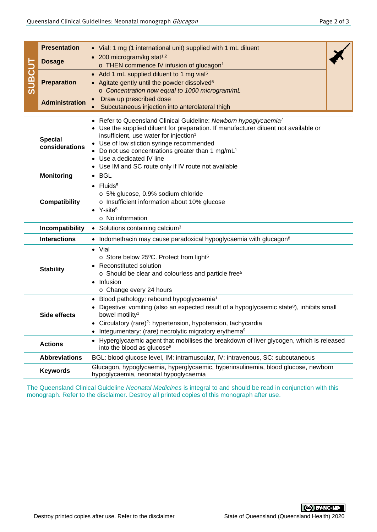|                                                                                                                                               | <b>Presentation</b>   | • Vial: 1 mg (1 international unit) supplied with 1 mL diluent                                                                                                                                                                                                                                                                                              |  |  |  |  |  |
|-----------------------------------------------------------------------------------------------------------------------------------------------|-----------------------|-------------------------------------------------------------------------------------------------------------------------------------------------------------------------------------------------------------------------------------------------------------------------------------------------------------------------------------------------------------|--|--|--|--|--|
|                                                                                                                                               | <b>Dosage</b>         | $\bullet$ 200 microgram/kg stat <sup>1,2</sup>                                                                                                                                                                                                                                                                                                              |  |  |  |  |  |
| <b>SUBCUT</b>                                                                                                                                 |                       | o THEN commence IV infusion of glucagon <sup>1</sup>                                                                                                                                                                                                                                                                                                        |  |  |  |  |  |
|                                                                                                                                               | <b>Preparation</b>    | Add 1 mL supplied diluent to 1 mg vial <sup>5</sup><br>$\bullet$                                                                                                                                                                                                                                                                                            |  |  |  |  |  |
|                                                                                                                                               |                       | Agitate gently until the powder dissolved <sup>5</sup><br>$\bullet$                                                                                                                                                                                                                                                                                         |  |  |  |  |  |
|                                                                                                                                               |                       | o Concentration now equal to 1000 microgram/mL                                                                                                                                                                                                                                                                                                              |  |  |  |  |  |
|                                                                                                                                               | <b>Administration</b> | Draw up prescribed dose<br>$\bullet$                                                                                                                                                                                                                                                                                                                        |  |  |  |  |  |
|                                                                                                                                               |                       | Subcutaneous injection into anterolateral thigh                                                                                                                                                                                                                                                                                                             |  |  |  |  |  |
| <b>Special</b><br>considerations                                                                                                              |                       | Refer to Queensland Clinical Guideline: Newborn hypoglycaemia <sup>7</sup><br>Use the supplied diluent for preparation. If manufacturer diluent not available or<br>insufficient, use water for injection <sup>1</sup><br>Use of low stiction syringe recommended<br>Do not use concentrations greater than 1 mg/mL <sup>1</sup><br>Use a dedicated IV line |  |  |  |  |  |
|                                                                                                                                               |                       | • Use IM and SC route only if IV route not available                                                                                                                                                                                                                                                                                                        |  |  |  |  |  |
|                                                                                                                                               | <b>Monitoring</b>     | $\bullet$ BGL                                                                                                                                                                                                                                                                                                                                               |  |  |  |  |  |
|                                                                                                                                               |                       | $\bullet$ Fluids <sup>5</sup>                                                                                                                                                                                                                                                                                                                               |  |  |  |  |  |
| <b>Compatibility</b>                                                                                                                          |                       | o 5% glucose, 0.9% sodium chloride<br>o Insufficient information about 10% glucose<br>$Y\text{-site}^5$<br>o No information                                                                                                                                                                                                                                 |  |  |  |  |  |
|                                                                                                                                               | Incompatibility       | • Solutions containing calcium <sup>3</sup>                                                                                                                                                                                                                                                                                                                 |  |  |  |  |  |
|                                                                                                                                               | <b>Interactions</b>   | • Indomethacin may cause paradoxical hypoglycaemia with glucagon <sup>8</sup>                                                                                                                                                                                                                                                                               |  |  |  |  |  |
|                                                                                                                                               |                       |                                                                                                                                                                                                                                                                                                                                                             |  |  |  |  |  |
| <b>Stability</b>                                                                                                                              |                       | Vial<br>$\bullet$<br>o Store below 25°C. Protect from light <sup>5</sup><br>Reconstituted solution<br>o Should be clear and colourless and particle free <sup>5</sup><br>Infusion<br>o Change every 24 hours                                                                                                                                                |  |  |  |  |  |
|                                                                                                                                               | <b>Side effects</b>   | Blood pathology: rebound hypoglycaemia <sup>1</sup><br>Digestive: vomiting (also an expected result of a hypoglycaemic state <sup>8</sup> ), inhibits small<br>bowel motility <sup>1</sup>                                                                                                                                                                  |  |  |  |  |  |
|                                                                                                                                               |                       | Circulatory (rare) <sup>2</sup> : hypertension, hypotension, tachycardia                                                                                                                                                                                                                                                                                    |  |  |  |  |  |
|                                                                                                                                               |                       | Integumentary: (rare) necrolytic migratory erythema <sup>9</sup>                                                                                                                                                                                                                                                                                            |  |  |  |  |  |
| <b>Actions</b><br>into the blood as glucose <sup>8</sup>                                                                                      |                       | Hyperglycaemic agent that mobilises the breakdown of liver glycogen, which is released                                                                                                                                                                                                                                                                      |  |  |  |  |  |
|                                                                                                                                               | <b>Abbreviations</b>  | BGL: blood glucose level, IM: intramuscular, IV: intravenous, SC: subcutaneous                                                                                                                                                                                                                                                                              |  |  |  |  |  |
| Glucagon, hypoglycaemia, hyperglycaemic, hyperinsulinemia, blood glucose, newborn<br><b>Keywords</b><br>hypoglycaemia, neonatal hypoglycaemia |                       |                                                                                                                                                                                                                                                                                                                                                             |  |  |  |  |  |
|                                                                                                                                               |                       | The Queensland Clinical Guideline Neonatal Medicines is integral to and should be read in conjunction with this<br>monograph. Refer to the disclaimer. Destroy all printed copies of this monograph after use.                                                                                                                                              |  |  |  |  |  |
|                                                                                                                                               |                       | <b>CC</b> BY-NC-ND<br>State of Queensland (Queensland Health) 2020                                                                                                                                                                                                                                                                                          |  |  |  |  |  |
|                                                                                                                                               |                       | Destroy printed copies after use. Refer to the disclaimer                                                                                                                                                                                                                                                                                                   |  |  |  |  |  |